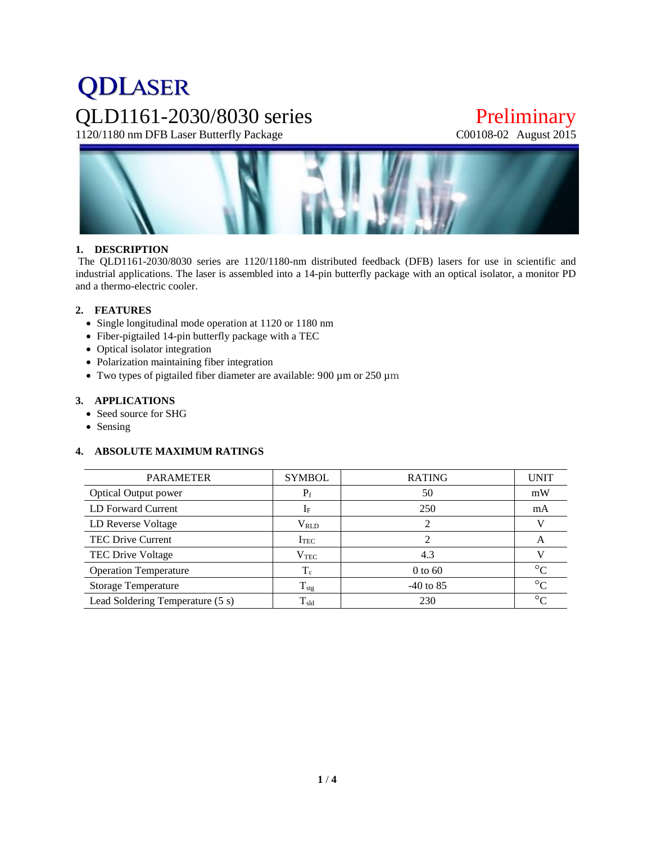# **QDLASER** QLD1161-2030/8030 series Preliminary<br>1120/1180 nm DFB Laser Butterfly Package C00108-02 August 2015

1120/1180 nm DFB Laser Butterfly Package



# **1. DESCRIPTION**

The QLD1161-2030/8030 series are 1120/1180-nm distributed feedback (DFB) lasers for use in scientific and industrial applications. The laser is assembled into a 14-pin butterfly package with an optical isolator, a monitor PD and a thermo-electric cooler.

# **2. FEATURES**

- Single longitudinal mode operation at 1120 or 1180 nm
- Fiber-pigtailed 14-pin butterfly package with a TEC
- Optical isolator integration
- Polarization maintaining fiber integration
- Two types of pigtailed fiber diameter are available: 900 µm or 250 µm

# **3. APPLICATIONS**

- Seed source for SHG
- Sensing

# **4. ABSOLUTE MAXIMUM RATINGS**

| <b>PARAMETER</b>                 | <b>SYMBOL</b>    | <b>RATING</b> | <b>UNIT</b> |
|----------------------------------|------------------|---------------|-------------|
| <b>Optical Output power</b>      | $P_f$            | 50            | mW          |
| LD Forward Current               | $I_F$            | 250           | mA          |
| LD Reverse Voltage               | $V_{RLD}$        |               |             |
| <b>TEC Drive Current</b>         | I <sub>TEC</sub> |               | A           |
| TEC Drive Voltage                | $V_{\rm TEC}$    | 4.3           |             |
| <b>Operation Temperature</b>     | $T_c$            | $0$ to 60     | $\circ$     |
| <b>Storage Temperature</b>       | $T_{\text{stg}}$ | $-40$ to 85   | $\circ$     |
| Lead Soldering Temperature (5 s) | $T_{\rm sld}$    | 230           | $\circ$     |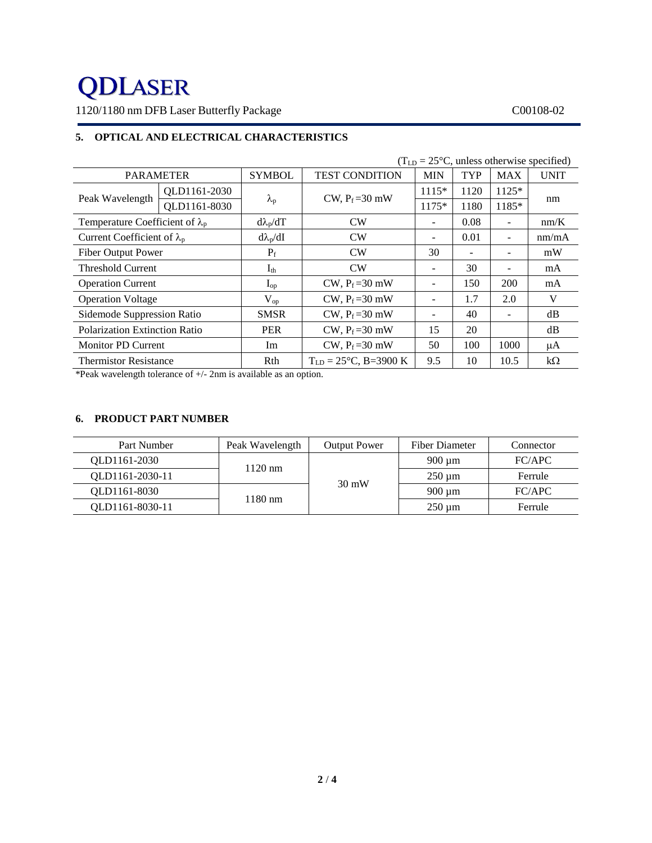# **QDLASER**

1120/1180 nm DFB Laser Butterfly Package C00108-02

# **5. OPTICAL AND ELECTRICAL CHARACTERISTICS**

| $(TLD = 25oC$ , unless otherwise specified) |              |                   |                                   |                          |      |                          |             |
|---------------------------------------------|--------------|-------------------|-----------------------------------|--------------------------|------|--------------------------|-------------|
| <b>PARAMETER</b>                            |              | <b>SYMBOL</b>     | <b>TEST CONDITION</b>             | <b>MIN</b>               | TYP  | <b>MAX</b>               | <b>UNIT</b> |
| Peak Wavelength                             | QLD1161-2030 |                   | CW, $P_f = 30$ mW                 | $1115*$                  | 1120 | $1125*$                  | nm          |
|                                             | QLD1161-8030 | $\lambda_{\rm p}$ |                                   | $1175*$                  | 1180 | 1185*                    |             |
| Temperature Coefficient of $\lambda_p$      |              | $d\lambda_p/dT$   | CW                                |                          | 0.08 | $\overline{\phantom{m}}$ | nm/K        |
| Current Coefficient of $\lambda_p$          |              | $d\lambda_p/dI$   | CW                                |                          | 0.01 | $\overline{\phantom{a}}$ | nm/mA       |
| <b>Fiber Output Power</b>                   |              | $P_f$             | CW                                | 30                       |      | $\overline{\phantom{a}}$ | mW          |
| <b>Threshold Current</b>                    |              | $I_{th}$          | CW                                |                          | 30   |                          | mA          |
| <b>Operation Current</b>                    |              | $I_{op}$          | CW, $P_f = 30$ mW                 | $\overline{\phantom{0}}$ | 150  | 200                      | mA          |
| <b>Operation Voltage</b>                    |              | $V_{op}$          | CW, $P_f = 30$ mW                 |                          | 1.7  | 2.0                      | V           |
| Sidemode Suppression Ratio                  |              | <b>SMSR</b>       | CW, $P_f = 30$ mW                 |                          | 40   | $\overline{\phantom{m}}$ | dB          |
| <b>Polarization Extinction Ratio</b>        |              | <b>PER</b>        | CW, $P_f = 30$ mW                 | 15                       | 20   |                          | dB          |
| <b>Monitor PD Current</b>                   |              | Im                | CW, $P_f = 30$ mW                 | 50                       | 100  | 1000                     | μA          |
| <b>Thermistor Resistance</b>                |              | Rth               | $T_{LD} = 25^{\circ}C$ , B=3900 K | 9.5                      | 10   | 10.5                     | $k\Omega$   |

\*Peak wavelength tolerance of +/- 2nm is available as an option.

# **6. PRODUCT PART NUMBER**

| Part Number     | Peak Wavelength   | <b>Output Power</b> | Fiber Diameter | Connector |
|-----------------|-------------------|---------------------|----------------|-----------|
| QLD1161-2030    |                   |                     | $900 \mu m$    | FC/APC    |
| OLD1161-2030-11 | $1120$ nm         | $30 \text{ mW}$     | $250 \mu m$    | Ferrule   |
| QLD1161-8030    |                   |                     | $900 \mu m$    | FC/APC    |
| OLD1161-8030-11 | $1180 \text{ nm}$ |                     | $250 \mu m$    | Ferrule   |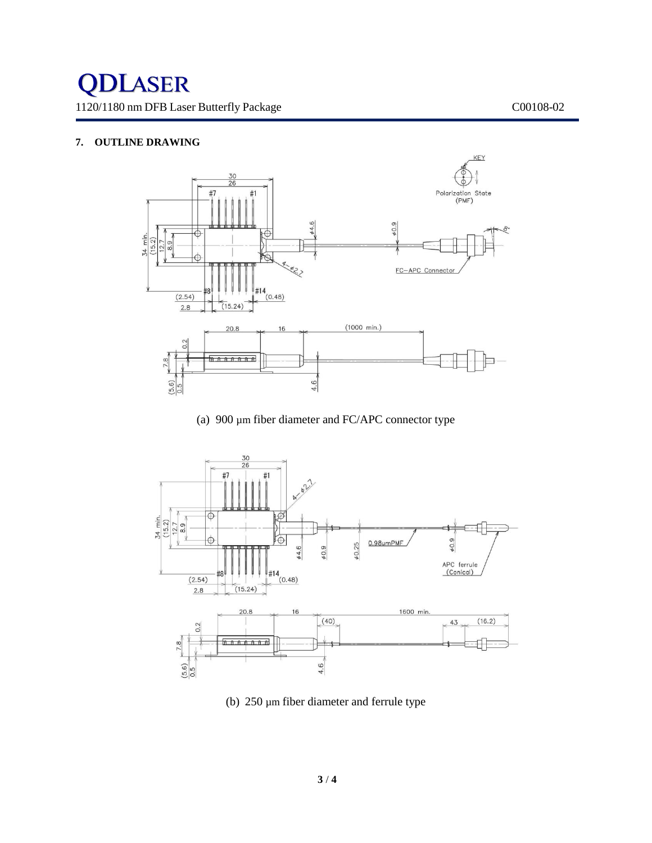# **7. OUTLINE DRAWING**



(a) 900 µm fiber diameter and FC/APC connector type



(b) 250 µm fiber diameter and ferrule type